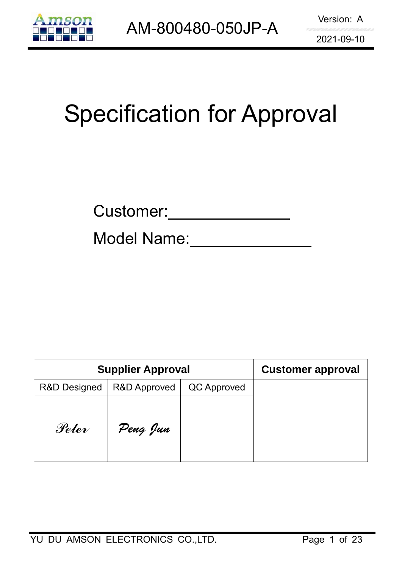

# Specification for Approval

Model Name:

| <b>Supplier Approval</b> |                         |             | <b>Customer approval</b> |
|--------------------------|-------------------------|-------------|--------------------------|
| <b>R&amp;D Designed</b>  | <b>R&amp;D Approved</b> | QC Approved |                          |
| Peter                    | Peng Jun                |             |                          |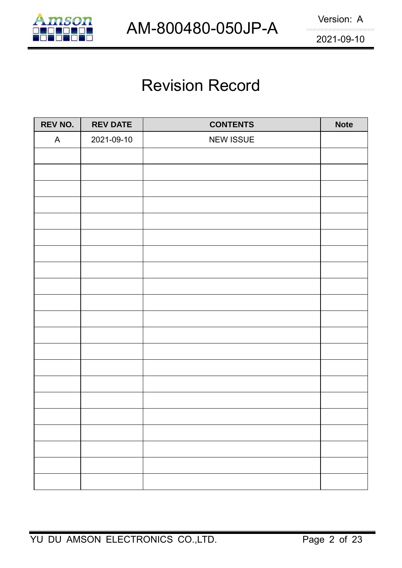

# Revision Record

| REV NO.      | <b>REV DATE</b> | <b>CONTENTS</b>  | <b>Note</b> |
|--------------|-----------------|------------------|-------------|
| $\mathsf{A}$ | 2021-09-10      | <b>NEW ISSUE</b> |             |
|              |                 |                  |             |
|              |                 |                  |             |
|              |                 |                  |             |
|              |                 |                  |             |
|              |                 |                  |             |
|              |                 |                  |             |
|              |                 |                  |             |
|              |                 |                  |             |
|              |                 |                  |             |
|              |                 |                  |             |
|              |                 |                  |             |
|              |                 |                  |             |
|              |                 |                  |             |
|              |                 |                  |             |
|              |                 |                  |             |
|              |                 |                  |             |
|              |                 |                  |             |
|              |                 |                  |             |
|              |                 |                  |             |
|              |                 |                  |             |
|              |                 |                  |             |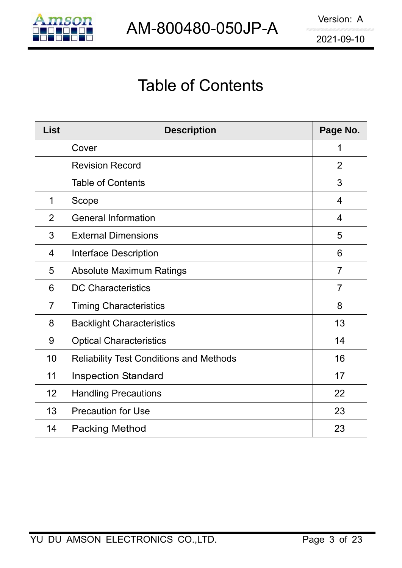

# Table of Contents

| <b>List</b>    | <b>Description</b>                             | Page No.       |
|----------------|------------------------------------------------|----------------|
|                | Cover                                          | 1              |
|                | <b>Revision Record</b>                         | 2              |
|                | <b>Table of Contents</b>                       | 3              |
| 1              | Scope                                          | $\overline{4}$ |
| $\overline{2}$ | <b>General Information</b>                     | $\overline{4}$ |
| 3              | <b>External Dimensions</b>                     | 5              |
| $\overline{4}$ | <b>Interface Description</b>                   | 6              |
| 5              | <b>Absolute Maximum Ratings</b>                | $\overline{7}$ |
| 6              | <b>DC Characteristics</b>                      | $\overline{7}$ |
| $\overline{7}$ | <b>Timing Characteristics</b>                  | 8              |
| 8              | <b>Backlight Characteristics</b>               | 13             |
| 9              | <b>Optical Characteristics</b>                 | 14             |
| 10             | <b>Reliability Test Conditions and Methods</b> | 16             |
| 11             | <b>Inspection Standard</b>                     | 17             |
| 12             | <b>Handling Precautions</b>                    | 22             |
| 13             | <b>Precaution for Use</b>                      | 23             |
| 14             | <b>Packing Method</b>                          | 23             |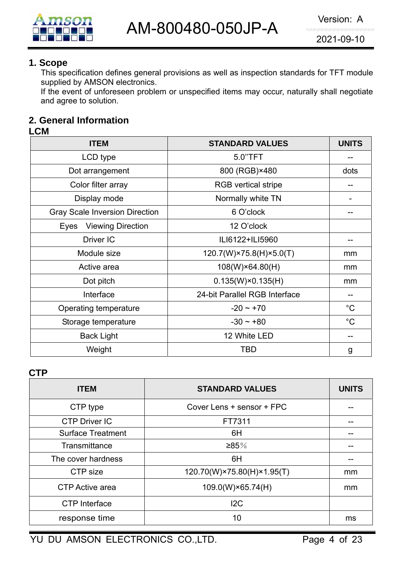

#### **1. Scope**

This specification defines general provisions as well as inspection standards for TFT module supplied by AMSON electronics.

If the event of unforeseen problem or unspecified items may occur, naturally shall negotiate and agree to solution.

#### **2. General Information**

#### **LCM**

| <b>ITEM</b>                           | <b>STANDARD VALUES</b>        | <b>UNITS</b> |
|---------------------------------------|-------------------------------|--------------|
| LCD type                              | 5.0"TFT                       |              |
| Dot arrangement                       | 800 (RGB)×480                 | dots         |
| Color filter array                    | <b>RGB</b> vertical stripe    |              |
| Display mode                          | Normally white TN             |              |
| <b>Gray Scale Inversion Direction</b> | 6 O'clock                     |              |
| <b>Viewing Direction</b><br>Eyes      | 12 O'clock                    |              |
| Driver IC                             | ILI6122+ILI5960               |              |
| Module size                           | 120.7(W)×75.8(H)×5.0(T)       | mm           |
| Active area                           | 108(W)×64.80(H)               | mm           |
| Dot pitch                             | $0.135(W)\times0.135(H)$      | mm           |
| Interface                             | 24-bit Parallel RGB Interface |              |
| Operating temperature                 | $-20 \sim +70$                | $^{\circ}C$  |
| Storage temperature                   | $-30 \sim +80$                | $^{\circ}C$  |
| <b>Back Light</b>                     | 12 White LED                  |              |
| Weight                                | TBD                           | g            |

#### **CTP**

| <b>ITEM</b>              | <b>STANDARD VALUES</b>     | <b>UNITS</b> |
|--------------------------|----------------------------|--------------|
| CTP type                 | Cover Lens + sensor + FPC  |              |
| <b>CTP Driver IC</b>     | FT7311                     |              |
| <b>Surface Treatment</b> | 6H                         |              |
| Transmittance            | ≥85%                       |              |
| The cover hardness       | 6H                         |              |
| CTP size                 | 120.70(W)×75.80(H)×1.95(T) | mm           |
| CTP Active area          | 109.0(W)×65.74(H)          | mm           |
| <b>CTP</b> Interface     | 12C                        |              |
| response time            | 10                         | ms           |

YU DU AMSON ELECTRONICS CO.,LTD. Page 4 of 23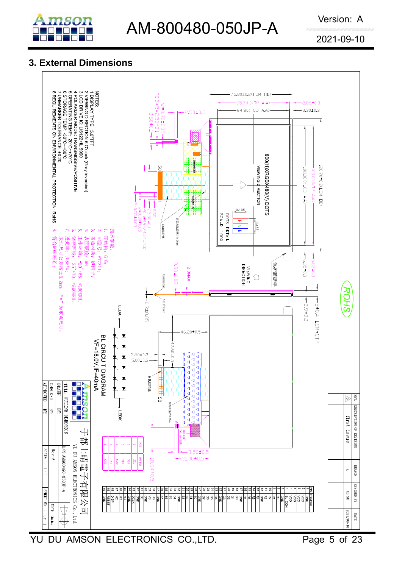

### **3. External Dimensions**

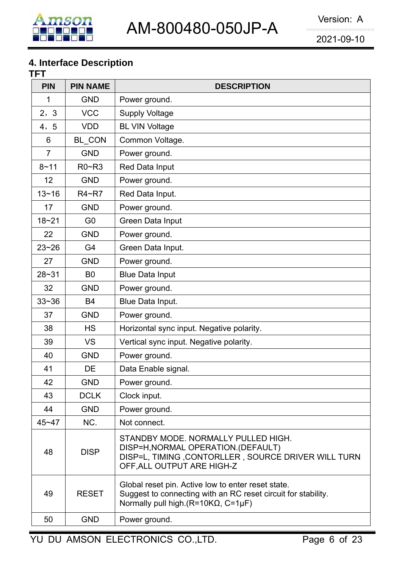#### **4. Interface Description**

| TFT            |                 |                                                                                                                                                                               |
|----------------|-----------------|-------------------------------------------------------------------------------------------------------------------------------------------------------------------------------|
| <b>PIN</b>     | <b>PIN NAME</b> | <b>DESCRIPTION</b>                                                                                                                                                            |
| 1              | <b>GND</b>      | Power ground.                                                                                                                                                                 |
| 2, 3           | <b>VCC</b>      | <b>Supply Voltage</b>                                                                                                                                                         |
| 4, 5           | <b>VDD</b>      | <b>BL VIN Voltage</b>                                                                                                                                                         |
| 6              | BL_CON          | Common Voltage.                                                                                                                                                               |
| $\overline{7}$ | <b>GND</b>      | Power ground.                                                                                                                                                                 |
| $8 - 11$       | $R0 - R3$       | Red Data Input                                                                                                                                                                |
| 12             | <b>GND</b>      | Power ground.                                                                                                                                                                 |
| $13 - 16$      | R4~R7           | Red Data Input.                                                                                                                                                               |
| 17             | <b>GND</b>      | Power ground.                                                                                                                                                                 |
| $18 - 21$      | G <sub>0</sub>  | Green Data Input                                                                                                                                                              |
| 22             | <b>GND</b>      | Power ground.                                                                                                                                                                 |
| $23 - 26$      | G4              | Green Data Input.                                                                                                                                                             |
| 27             | <b>GND</b>      | Power ground.                                                                                                                                                                 |
| $28 - 31$      | B <sub>0</sub>  | <b>Blue Data Input</b>                                                                                                                                                        |
| 32             | <b>GND</b>      | Power ground.                                                                                                                                                                 |
| $33 - 36$      | B4              | Blue Data Input.                                                                                                                                                              |
| 37             | <b>GND</b>      | Power ground.                                                                                                                                                                 |
| 38             | <b>HS</b>       | Horizontal sync input. Negative polarity.                                                                                                                                     |
| 39             | <b>VS</b>       | Vertical sync input. Negative polarity.                                                                                                                                       |
| 40             | <b>GND</b>      | Power ground.                                                                                                                                                                 |
| 41             | DE              | Data Enable signal.                                                                                                                                                           |
| 42             | <b>GND</b>      | Power ground.                                                                                                                                                                 |
| 43             | <b>DCLK</b>     | Clock input.                                                                                                                                                                  |
| 44             | <b>GND</b>      | Power ground.                                                                                                                                                                 |
| $45 - 47$      | NC.             | Not connect.                                                                                                                                                                  |
| 48             | <b>DISP</b>     | STANDBY MODE. NORMALLY PULLED HIGH.<br>DISP=H, NORMAL OPERATION. (DEFAULT)<br>DISP=L, TIMING, CONTORLLER, SOURCE DRIVER WILL TURN<br>OFF, ALL OUTPUT ARE HIGH-Z               |
| 49             | <b>RESET</b>    | Global reset pin. Active low to enter reset state.<br>Suggest to connecting with an RC reset circuit for stability.<br>Normally pull high. ( $R = 10K\Omega$ , $C = 1\mu F$ ) |
| 50             | <b>GND</b>      | Power ground.                                                                                                                                                                 |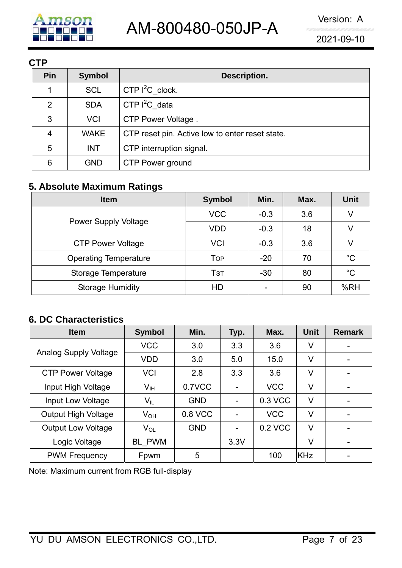

**CTP** 

| v I I |               |                                                 |
|-------|---------------|-------------------------------------------------|
| Pin   | <b>Symbol</b> | Description.                                    |
| 1     | <b>SCL</b>    | CTP $I^2C$ _clock.                              |
| 2     | <b>SDA</b>    | CTP $I^2C$ data                                 |
| 3     | <b>VCI</b>    | CTP Power Voltage.                              |
| 4     | <b>WAKE</b>   | CTP reset pin. Active low to enter reset state. |
| 5     | <b>INT</b>    | CTP interruption signal.                        |
| 6     | <b>GND</b>    | CTP Power ground                                |

#### **5. Absolute Maximum Ratings**

| <b>Item</b>                  | <b>Symbol</b> | Min.   | Max. | <b>Unit</b> |
|------------------------------|---------------|--------|------|-------------|
|                              | <b>VCC</b>    | $-0.3$ | 3.6  | V           |
| <b>Power Supply Voltage</b>  | <b>VDD</b>    | $-0.3$ | 18   | v           |
| <b>CTP Power Voltage</b>     | <b>VCI</b>    | $-0.3$ | 3.6  | V           |
| <b>Operating Temperature</b> | <b>TOP</b>    | $-20$  | 70   | $^{\circ}C$ |
| Storage Temperature          | TsT           | $-30$  | 80   | $^{\circ}C$ |
| <b>Storage Humidity</b>      | HD            |        | 90   | %RH         |

#### **6. DC Characteristics**

| <b>Item</b>                  | <b>Symbol</b>   | Min.       | Typ. | Max.       | <b>Unit</b> | <b>Remark</b>            |
|------------------------------|-----------------|------------|------|------------|-------------|--------------------------|
|                              | <b>VCC</b>      | 3.0        | 3.3  | 3.6        | V           |                          |
| <b>Analog Supply Voltage</b> | <b>VDD</b>      | 3.0        | 5.0  | 15.0       | V           | -                        |
| <b>CTP Power Voltage</b>     | <b>VCI</b>      | 2.8        | 3.3  | 3.6        | V           | ۰                        |
| Input High Voltage           | $V_{\text{IH}}$ | 0.7VCC     |      | <b>VCC</b> | V           | $\overline{\phantom{0}}$ |
| Input Low Voltage            | $V_{\sf IL}$    | <b>GND</b> |      | 0.3 VCC    | V           | $\overline{\phantom{0}}$ |
| <b>Output High Voltage</b>   | $V_{OH}$        | 0.8 VCC    |      | <b>VCC</b> | V           |                          |
| <b>Output Low Voltage</b>    | $V_{OL}$        | <b>GND</b> |      | 0.2 VCC    | V           |                          |
| Logic Voltage                | BL PWM          |            | 3.3V |            | V           |                          |
| <b>PWM Frequency</b>         | Fpwm            | 5          |      | 100        | <b>KHz</b>  |                          |

Note: Maximum current from RGB full-display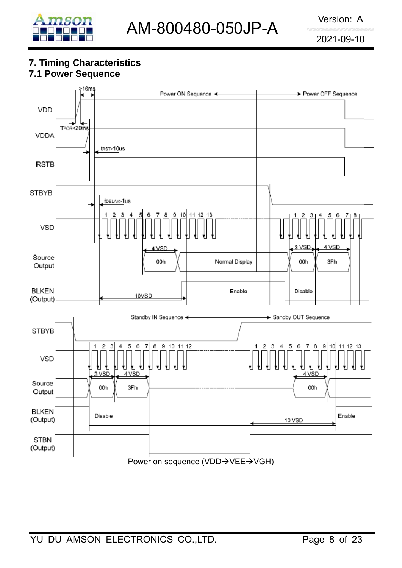

# **7. Timing Characteristics**

# **7.1 Power Sequence**

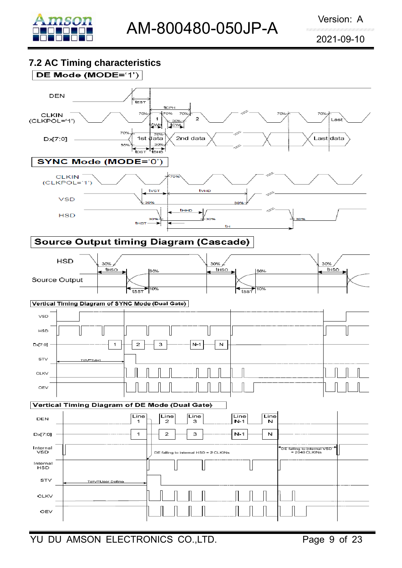

#### **7.2 AC Timing characteristics**

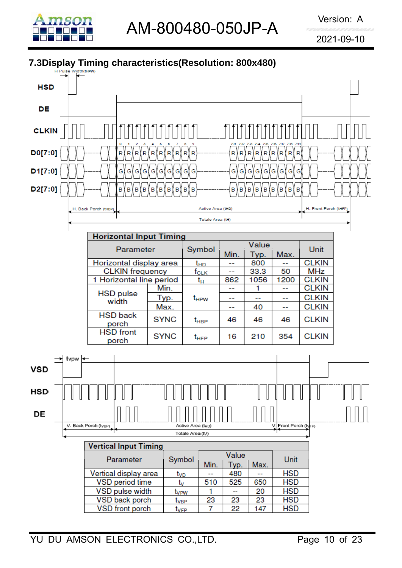

AM-800480-050JP-A

2021-09-10

### **7.3Display Timing characteristics(Resolution: 800x480)**

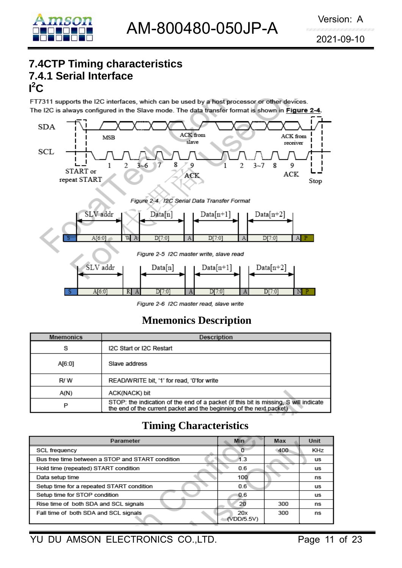

# **7.4CTP Timing characteristics 7.4.1 Serial Interface**   $I^2C$

FT7311 supports the I2C interfaces, which can be used by a host processor or other devices. The I2C is always configured in the Slave mode. The data transfer format is shown in Figure 2-4.



Figure 2-6 12C master read, slave write

# **Mnemonics Description**

| <b>Mnemonics</b> | Description                                                                                                                                                 |
|------------------|-------------------------------------------------------------------------------------------------------------------------------------------------------------|
| s                | I2C Start or I2C Restart                                                                                                                                    |
| A[6:0]           | Slave address                                                                                                                                               |
| R/W              | READ/WRITE bit, '1' for read, '0'for write                                                                                                                  |
| A(N)             | ACK(NACK) bit                                                                                                                                               |
| P                | STOP: the indication of the end of a packet (if this bit is missing, S will indicate<br>the end of the current packet and the beginning of the next packet) |

# **Timing Characteristics**

| Parameter                                        | Min               | Max | Unit      |
|--------------------------------------------------|-------------------|-----|-----------|
| <b>SCL frequency</b>                             |                   | 400 | KHz       |
| Bus free time between a STOP and START condition | 13                |     | us        |
| Hold time (repeated) START condition             | 0.6               |     | us        |
| Data setup time                                  | 100               |     | ns        |
| Setup time for a repeated START condition        | 0.6               |     | us        |
| Setup time for STOP condition                    | 0.6               |     | <b>us</b> |
| Rise time of both SDA and SCL signals            | 20                | 300 | ns        |
| Fall time of both SDA and SCL signals            | 20x<br>(VDD/5.5V) | 300 | ns        |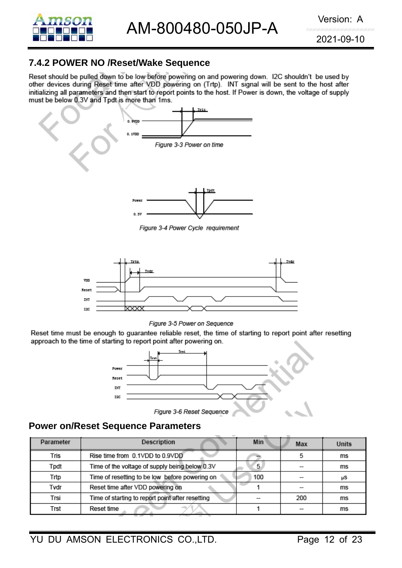

#### **7.4.2 POWER NO /Reset/Wake Sequence**

Reset should be pulled down to be low before powering on and powering down. I2C shouldn't be used by other devices during Reset time after VDD powering on (Trtp). INT signal will be sent to the host after initializing all parameters and then start to report points to the host. If Power is down, the voltage of supply must be below 0.3V and Tpdt is more than 1ms.



Figure 3-4 Power Cycle requirement



Figure 3-5 Power on Sequence

Reset time must be enough to guarantee reliable reset, the time of starting to report point after resetting approach to the time of starting to report point after powering on.



#### **Power on/Reset Sequence Parameters**

| Parameter | Description                                      | Min | Max | Units |
|-----------|--------------------------------------------------|-----|-----|-------|
| Tris      | Rise time from 0.1VDD to 0.9VDD                  |     |     | ms    |
| Tpdt      | Time of the voltage of supply being below 0.3V   | 5   |     | ms    |
| Trtp      | Time of resetting to be low before powering on   | 100 |     | μS    |
| Tvdr      | Reset time after VDD powering on                 |     |     | ms    |
| Trsi      | Time of starting to report point after resetting |     | 200 | ms    |
| Trst      | Reset time                                       |     |     | ms    |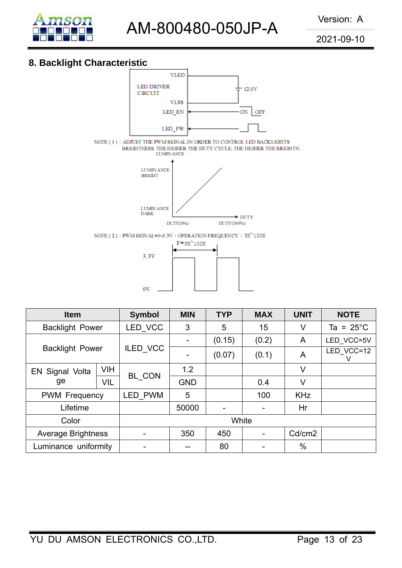

AM-800480-050JP-A Version: A

2021-09-10

#### **8. Backlight Characteristic**



0V

| <b>Item</b>               | <b>Symbol</b>   | <b>MIN</b>      | <b>TYP</b>               | <b>MAX</b>               | <b>UNIT</b> | <b>NOTE</b>         |            |
|---------------------------|-----------------|-----------------|--------------------------|--------------------------|-------------|---------------------|------------|
| <b>Backlight Power</b>    | LED VCC         | 3               | 5                        | 15                       | V           | Ta = $25^{\circ}$ C |            |
|                           |                 |                 | $\overline{\phantom{0}}$ | (0.15)                   | (0.2)       | A                   | LED VCC=5V |
| <b>Backlight Power</b>    | <b>ILED VCC</b> | $\qquad \qquad$ | (0.07)                   | (0.1)                    | A           | LED VCC=12          |            |
| <b>EN Signal Volta</b>    | <b>VIH</b>      |                 | 1.2                      |                          |             | V                   |            |
| ge                        | <b>VIL</b>      | BL CON          | <b>GND</b>               |                          | 0.4         | V                   |            |
| <b>PWM Frequency</b>      | <b>LED PWM</b>  | 5               |                          | 100                      | <b>KHz</b>  |                     |            |
| Lifetime                  |                 |                 | 50000                    | $\overline{\phantom{a}}$ |             | Hr                  |            |
| Color                     |                 |                 | White                    |                          |             |                     |            |
| <b>Average Brightness</b> | -               | 350             | 450                      |                          | Cd/cm2      |                     |            |
| Luminance uniformity      |                 |                 |                          | 80                       |             | $\%$                |            |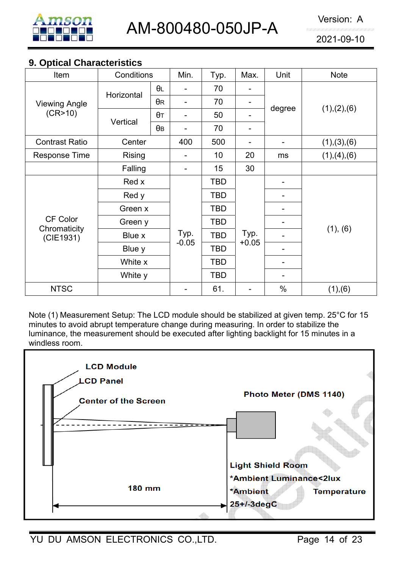

#### **9. Optical Characteristics**

| Item                      | Conditions       |            | Min.    | Typ.       | Max.    | Unit   | <b>Note</b>   |  |
|---------------------------|------------------|------------|---------|------------|---------|--------|---------------|--|
|                           | Horizontal       | $\theta$ L |         | 70         |         | degree |               |  |
| <b>Viewing Angle</b>      |                  | $\theta$ R |         | 70         | -       |        | (1), (2), (6) |  |
| (CR>10)                   | Vertical         | $\theta$ T |         | 50         |         |        |               |  |
|                           |                  | $\theta$ B |         | 70         |         |        |               |  |
| <b>Contrast Ratio</b>     | Center           |            | 400     | 500        | -       |        | (1), (3), (6) |  |
| Response Time             | <b>Rising</b>    |            |         | 10         | 20      | ms     | (1), (4), (6) |  |
|                           | Falling          |            | -       | 15         | 30      |        |               |  |
|                           | Red x            |            |         | <b>TBD</b> |         |        |               |  |
|                           | Red y<br>Green x |            |         | <b>TBD</b> |         |        |               |  |
|                           |                  |            |         | <b>TBD</b> |         |        |               |  |
| CF Color                  | Green y          |            |         | <b>TBD</b> |         |        |               |  |
| Chromaticity<br>(CIE1931) | Blue x           |            | Typ.    | <b>TBD</b> | Typ.    |        | (1), (6)      |  |
|                           | Blue y           |            | $-0.05$ | TBD        | $+0.05$ |        |               |  |
|                           | White x          |            |         | <b>TBD</b> |         |        |               |  |
|                           | White y          |            |         | <b>TBD</b> |         |        |               |  |
| <b>NTSC</b>               |                  |            |         | 61.        |         | $\%$   | (1),(6)       |  |

Note (1) Measurement Setup: The LCD module should be stabilized at given temp. 25°C for 15 minutes to avoid abrupt temperature change during measuring. In order to stabilize the luminance, the measurement should be executed after lighting backlight for 15 minutes in a windless room.

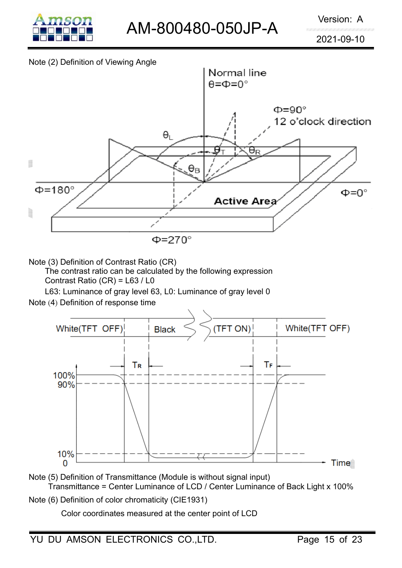

#### Note (2) Definition of Viewing Angle



Note (3) Definition of Contrast Ratio (CR)

The contrast ratio can be calculated by the following expression Contrast Ratio (CR) = L63 / L0

L63: Luminance of gray level 63, L0: Luminance of gray level 0

Note (4) Definition of response time



- Note (5) Definition of Transmittance (Module is without signal input) Transmittance = Center Luminance of LCD / Center Luminance of Back Light x 100%
- Note (6) Definition of color chromaticity (CIE1931)

Color coordinates measured at the center point of LCD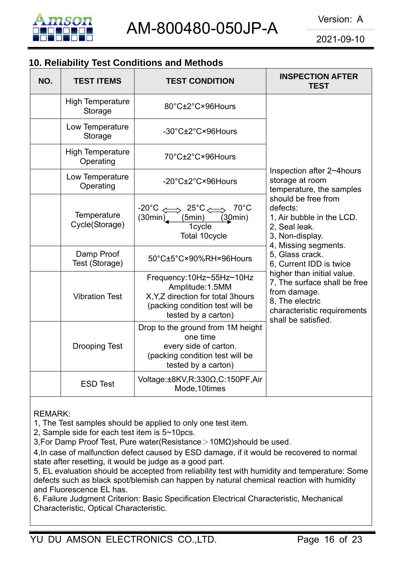

### **10. Reliability Test Conditions and Methods**

| NO. | <b>TEST ITEMS</b>                    | <b>TEST CONDITION</b>                                                                                                                        | <b>INSPECTION AFTER</b><br><b>TEST</b>                                                                                                              |
|-----|--------------------------------------|----------------------------------------------------------------------------------------------------------------------------------------------|-----------------------------------------------------------------------------------------------------------------------------------------------------|
|     | <b>High Temperature</b><br>Storage   | 80°C±2°C×96Hours                                                                                                                             |                                                                                                                                                     |
|     | Low Temperature<br>Storage           | -30°C±2°C×96Hours                                                                                                                            |                                                                                                                                                     |
|     | <b>High Temperature</b><br>Operating | 70°C±2°C×96Hours                                                                                                                             |                                                                                                                                                     |
|     | Low Temperature<br>Operating         | $-20^{\circ}$ C $\pm$ 2 $^{\circ}$ C $\times$ 96Hours                                                                                        | Inspection after 2~4hours<br>storage at room<br>temperature, the samples                                                                            |
|     | Temperature<br>Cycle(Storage)        | $-20^{\circ}$ C $\iff$ 25 $^{\circ}$ C $\iff$<br>$70^{\circ}$ C<br>(5min)<br>(30min)<br>(30min)<br>1cycle<br>Total 10cycle                   | should be free from<br>defects:<br>1, Air bubble in the LCD.<br>2, Seal leak.<br>3, Non-display.<br>4, Missing segments.                            |
|     | Damp Proof<br>Test (Storage)         | 50°C±5°C×90%RH×96Hours                                                                                                                       | 5, Glass crack.<br>6. Current IDD is twice                                                                                                          |
|     | <b>Vibration Test</b>                | Frequency:10Hz~55Hz~10Hz<br>Amplitude: 1.5MM<br>X, Y, Z direction for total 3hours<br>(packing condition test will be<br>tested by a carton) | higher than initial value.<br>7, The surface shall be free<br>from damage.<br>8. The electric<br>characteristic requirements<br>shall be satisfied. |
|     | <b>Drooping Test</b>                 | Drop to the ground from 1M height<br>one time<br>every side of carton.<br>(packing condition test will be<br>tested by a carton)             |                                                                                                                                                     |
|     | <b>ESD Test</b>                      | Voltage: $\pm$ 8KV,R:330 $\Omega$ ,C:150PF,Air<br>Mode, 10times                                                                              |                                                                                                                                                     |

REMARK:

1, The Test samples should be applied to only one test item.

2, Sample side for each test item is 5~10pcs.

3,For Damp Proof Test, Pure water(Resistance>10MΩ)should be used.

4,In case of malfunction defect caused by ESD damage, if it would be recovered to normal state after resetting, it would be judge as a good part.

5, EL evaluation should be accepted from reliability test with humidity and temperature: Some defects such as black spot/blemish can happen by natural chemical reaction with humidity and Fluorescence EL has.

6, Failure Judgment Criterion: Basic Specification Electrical Characteristic, Mechanical Characteristic, Optical Characteristic.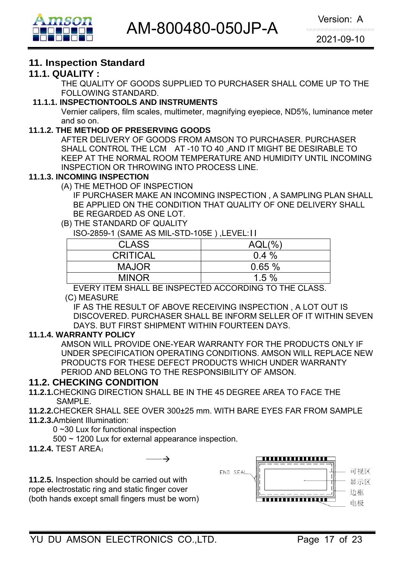

#### **11. Inspection Standard**

#### **11.1. QUALITY :**

THE QUALITY OF GOODS SUPPLIED TO PURCHASER SHALL COME UP TO THE FOLLOWING STANDARD.

#### **11.1.1. INSPECTIONTOOLS AND INSTRUMENTS**

Vernier calipers, film scales, multimeter, magnifying eyepiece, ND5%, luminance meter and so on.

#### **11.1.2. THE METHOD OF PRESERVING GOODS**

AFTER DELIVERY OF GOODS FROM AMSON TO PURCHASER. PURCHASER SHALL CONTROL THE LCM AT -10 TO 40 ,AND IT MIGHT BE DESIRABLE TO KEEP AT THE NORMAL ROOM TEMPERATURE AND HUMIDITY UNTIL INCOMING INSPECTION OR THROWING INTO PROCESS LINE.

#### **11.1.3. INCOMING INSPECTION**

(A) THE METHOD OF INSPECTION

 IF PURCHASER MAKE AN INCOMING INSPECTION , A SAMPLING PLAN SHALL BE APPLIED ON THE CONDITION THAT QUALITY OF ONE DELIVERY SHALL BE REGARDED AS ONE LOT.

#### (B) THE STANDARD OF QUALITY

ISO-2859-1 (SAME AS MIL-STD-105E ) ,LEVEL:II

| <b>CLASS</b>    | $AQL(\%)$ |
|-----------------|-----------|
| <b>CRITICAL</b> | $0.4\%$   |
| <b>MAJOR</b>    | 0.65%     |
| <b>MINOR</b>    | 1.5%      |
|                 |           |

EVERY ITEM SHALL BE INSPECTED ACCORDING TO THE CLASS.

#### (C) MEASURE

IF AS THE RESULT OF ABOVE RECEIVING INSPECTION , A LOT OUT IS DISCOVERED. PURCHASER SHALL BE INFORM SELLER OF IT WITHIN SEVEN DAYS. BUT FIRST SHIPMENT WITHIN FOURTEEN DAYS.

#### **11.1.4. WARRANTY POLICY**

AMSON WILL PROVIDE ONE-YEAR WARRANTY FOR THE PRODUCTS ONLY IF UNDER SPECIFICATION OPERATING CONDITIONS. AMSON WILL REPLACE NEW PRODUCTS FOR THESE DEFECT PRODUCTS WHICH UNDER WARRANTY PERIOD AND BELONG TO THE RESPONSIBILITY OF AMSON.

#### **11.2. CHECKING CONDITION**

- **11.2.1.**CHECKING DIRECTION SHALL BE IN THE 45 DEGREE AREA TO FACE THE SAMPLE.
- **11.2.2.**CHECKER SHALL SEE OVER 300±25 mm. WITH BARE EYES FAR FROM SAMPLE
- **11.2.3.**Ambient Illumination:

0 ~30 Lux for functional inspection

500 ~ 1200 Lux for external appearance inspection.

 $\rightarrow$ 

**11.2.4.** TEST AREA:

**11.2.5.** Inspection should be carried out with rope electrostatic ring and static finger cover (both hands except small fingers must be worn)

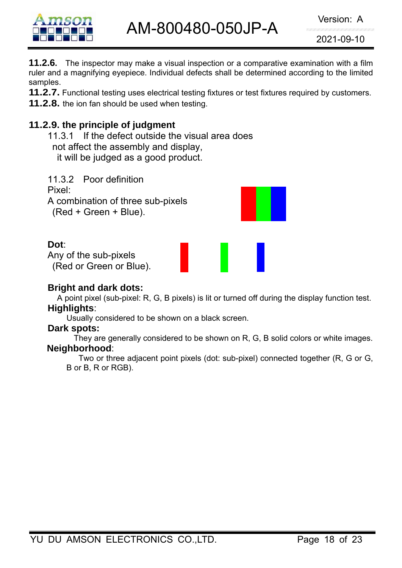

AM-800480-050JP-A

2021-09-10

**11.2.6.** The inspector may make a visual inspection or a comparative examination with a film ruler and a magnifying eyepiece. Individual defects shall be determined according to the limited samples.

**11.2.7.** Functional testing uses electrical testing fixtures or test fixtures required by customers.

**11.2.8.** the ion fan should be used when testing.

# **11.2.9. the principle of judgment**

11.3.1 If the defect outside the visual area does not affect the assembly and display, it will be judged as a good product.

11.3.2 Poor definition Pixel: A combination of three sub-pixels (Red + Green + Blue).

#### **Dot**:

Any of the sub-pixels (Red or Green or Blue).

#### **Bright and dark dots:**

A point pixel (sub-pixel: R, G, B pixels) is lit or turned off during the display function test. **Highlights**:

Usually considered to be shown on a black screen.

#### **Dark spots:**

They are generally considered to be shown on R, G, B solid colors or white images. **Neighborhood**:

Two or three adjacent point pixels (dot: sub-pixel) connected together (R, G or G, B or B, R or RGB).

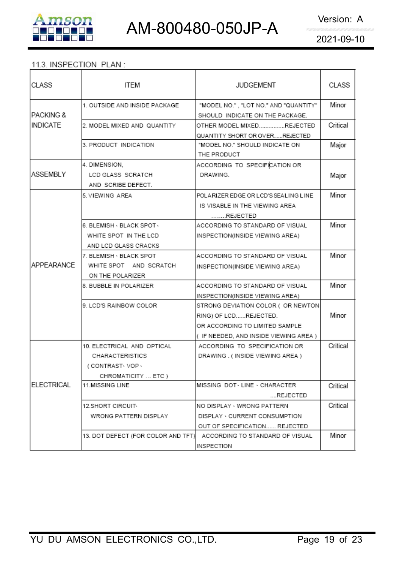



#### 11.3. INSPECTION PLAN:

| CLASS              | ITEM                               | <b>JUDGEMENT</b>                                                 | CLASS    |
|--------------------|------------------------------------|------------------------------------------------------------------|----------|
|                    | 1. OUTSIDE AND INSIDE PACKAGE      | "MODEL NO.", "LOT NO." AND "QUANTITY"                            | Minor    |
| IPACKING &         |                                    | SHOULD INDICATE ON THE PACKAGE.                                  |          |
| INDICATE           | 2. MODEL MIXED AND QUANTITY        | OTHER MODEL MIXEDREJECTED                                        | Critical |
|                    |                                    | QUANTITY SHORT OR OVERREJECTED                                   |          |
|                    | 3. PRODUCT INDICATION              | "MODEL NO." SHOULD INDICATE ON                                   | Major    |
|                    |                                    | THE PRODUCT                                                      |          |
|                    | 4. DIMENSION.                      | ACCORDING TO SPECIFICATION OR                                    |          |
| ASSEMBLY           | LCD GLASS SCRATCH                  | DRAWING.                                                         | Major    |
|                    | AND SCRIBE DEFECT.                 |                                                                  |          |
|                    | 5. VIEWING AREA                    | POLARIZER EDGE OR LCD'S SEALING LINE                             | Minor    |
|                    |                                    | IS VISABLE IN THE VIEWING AREA                                   |          |
|                    |                                    | REJECTED                                                         |          |
|                    | 6. BLEMISH - BLACK SPOT -          | ACCORDING TO STANDARD OF VISUAL                                  | Minor    |
|                    | WHITE SPOT IN THE LCD              | INSPECTION(INSIDE VIEWING AREA)                                  |          |
|                    | AND LCD GLASS CRACKS               |                                                                  |          |
|                    | 7. BLEMISH - BLACK SPOT            | ACCORDING TO STANDARD OF VISUAL                                  | Minor    |
| <b>IAPPEARANCE</b> | WHITE SPOT AND SCRATCH             | INSPECTION(INSIDE VIEWING AREA)                                  |          |
|                    | ON THE POLARIZER                   |                                                                  |          |
|                    | 8. BUBBLE IN POLARIZER             | ACCORDING TO STANDARD OF VISUAL                                  | Minor    |
|                    |                                    | INSPECTION(INSIDE VIEWING AREA)                                  |          |
|                    | 9. LCD'S RAINBOW COLOR             | STRONG DEVIATION COLOR (OR NEWTON                                |          |
|                    |                                    | RING) OF LCDREJECTED.                                            | Minor    |
|                    |                                    | OR ACCORDING TO LIMITED SAMPLE                                   |          |
|                    |                                    | ( IF NEEDED, AND INSIDE VIEWING AREA )                           |          |
|                    | 10. ELECTRICAL AND OPTICAL         | ACCORDING TO SPECIFICATION OR                                    | Critical |
|                    | CHARACTERISTICS                    | DRAWING. (INSIDE VIEWING AREA)                                   |          |
|                    | (CONTRAST-VOP-                     |                                                                  |          |
|                    | CHROMATICITY  ETC )                |                                                                  |          |
| <b>ELECTRICAL</b>  | 11.MISSING LINE                    | IMISSING DOT LINE - CHARACTER                                    | Critical |
|                    |                                    | REJECTED                                                         |          |
|                    | 12.SHORT CIRCUIT <sub>*</sub>      | NO DISPLAY - WRONG PATTERN                                       | Critical |
|                    | WRONG PATTERN DISPLAY              | DISPLAY · CURRENT CONSUMPTION                                    |          |
|                    |                                    |                                                                  |          |
|                    | 13. DOT DEFECT (FOR COLOR AND TFT) | OUT OF SPECIFICATION REJECTED<br>ACCORDING TO STANDARD OF VISUAL | Minor    |
|                    |                                    |                                                                  |          |
|                    |                                    | INSPECTION                                                       |          |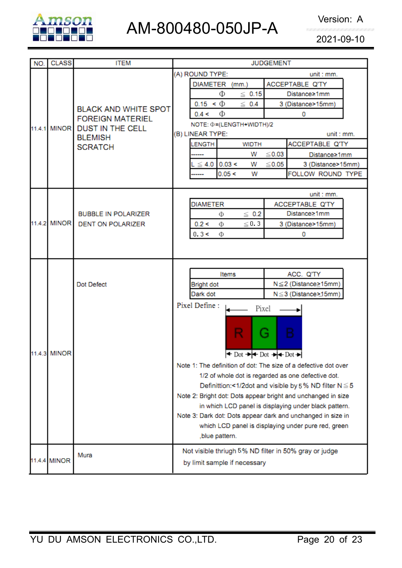

# AM-800480-050JP-A Version: A

2021-09-10

| NO. | <b>CLASS</b> | <b>ITEM</b>                                            | <b>JUDGEMENT</b>                                                                                    |  |  |  |  |
|-----|--------------|--------------------------------------------------------|-----------------------------------------------------------------------------------------------------|--|--|--|--|
|     |              |                                                        | (A) ROUND TYPE:<br>unit : mm.                                                                       |  |  |  |  |
|     |              |                                                        | ACCEPTABLE Q'TY<br><b>DIAMETER</b><br>(mm.)                                                         |  |  |  |  |
|     |              |                                                        | Φ<br>$\leq 0.15$<br>Distance≥1mm                                                                    |  |  |  |  |
|     |              | <b>BLACK AND WHITE SPOT</b>                            | $0.15 < \Phi$<br>$\leq 0.4$<br>3 (Distance>15mm)                                                    |  |  |  |  |
|     |              | <b>FOREIGN MATERIEL</b>                                | Φ<br>0.4 <<br>0                                                                                     |  |  |  |  |
|     | 11.4.1 MINOR | <b>DUST IN THE CELL</b>                                | NOTE: $\Phi = (LENGTH+WIDTH)/2$                                                                     |  |  |  |  |
|     |              | <b>BLEMISH</b>                                         | (B) LINEAR TYPE:<br>unit : mm.                                                                      |  |  |  |  |
|     |              | <b>SCRATCH</b>                                         | ACCEPTABLE Q'TY<br><b>ENGTH</b><br><b>WIDTH</b>                                                     |  |  |  |  |
|     |              |                                                        | $≤ 0.03$<br>w<br>Distance≥1mm                                                                       |  |  |  |  |
|     |              |                                                        | 0.03 <<br>$\leq 4.0$<br>$≤ 0.05$<br>w<br>3 (Distance>15mm)                                          |  |  |  |  |
|     |              |                                                        | 0.05 <<br>FOLLOW ROUND TYPE<br>w                                                                    |  |  |  |  |
|     |              |                                                        |                                                                                                     |  |  |  |  |
|     |              |                                                        | unit : mm.                                                                                          |  |  |  |  |
|     |              |                                                        | <b>DIAMETER</b><br>ACCEPTABLE Q'TY                                                                  |  |  |  |  |
|     | 11.4.2 MINOR | <b>BUBBLE IN POLARIZER</b><br><b>DENT ON POLARIZER</b> | Distance≥1mm<br>$\leq 0.2$<br>Φ                                                                     |  |  |  |  |
|     |              |                                                        | $\leq 0.3$<br>0.2 <<br>3 (Distance>15mm)<br>Φ                                                       |  |  |  |  |
|     |              |                                                        | 0.3 <<br>Ф<br>0                                                                                     |  |  |  |  |
|     |              |                                                        |                                                                                                     |  |  |  |  |
|     |              |                                                        |                                                                                                     |  |  |  |  |
|     |              |                                                        | Items<br>ACC. Q'TY                                                                                  |  |  |  |  |
|     |              | Dot Defect                                             | N≤2 (Distance≥15mm)<br><b>Bright dot</b>                                                            |  |  |  |  |
|     |              |                                                        | N≤3 (Distance>15mm)<br>Dark dot                                                                     |  |  |  |  |
|     |              |                                                        | Pixel Define:                                                                                       |  |  |  |  |
|     |              |                                                        | Pixel                                                                                               |  |  |  |  |
|     |              |                                                        |                                                                                                     |  |  |  |  |
|     |              |                                                        | G<br>в                                                                                              |  |  |  |  |
|     |              |                                                        |                                                                                                     |  |  |  |  |
|     | 11.4.3 MINOR |                                                        | $\triangleleft$ Dot $\rightarrow$ $\triangleleft$ Dot $\rightarrow$ $\rightarrow$ Dot $\rightarrow$ |  |  |  |  |
|     |              |                                                        | Note 1: The definition of dot: The size of a defective dot over                                     |  |  |  |  |
|     |              |                                                        | 1/2 of whole dot is regarded as one defective dot.                                                  |  |  |  |  |
|     |              |                                                        | Definittion:<1/2dot and visible by 5% ND filter N ≤ 5                                               |  |  |  |  |
|     |              |                                                        | Note 2: Bright dot: Dots appear bright and unchanged in size                                        |  |  |  |  |
|     |              |                                                        | in which LCD panel is displaying under black pattern.                                               |  |  |  |  |
|     |              |                                                        | Note 3: Dark dot: Dots appear dark and unchanged in size in                                         |  |  |  |  |
|     |              |                                                        | which LCD panel is displaying under pure red, green                                                 |  |  |  |  |
|     |              |                                                        | ,blue pattern.                                                                                      |  |  |  |  |
|     |              |                                                        | Not visible thriugh 5% ND filter in 50% gray or judge                                               |  |  |  |  |
|     | 11.4.4 MINOR | Mura                                                   |                                                                                                     |  |  |  |  |
|     |              |                                                        | by limit sample if necessary                                                                        |  |  |  |  |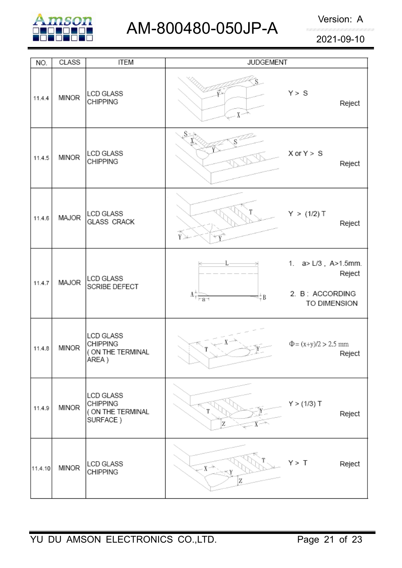

| NO.     | <b>CLASS</b> | <b>ITEM</b>                                                      | <b>JUDGEMENT</b>                           |                                                                           |
|---------|--------------|------------------------------------------------------------------|--------------------------------------------|---------------------------------------------------------------------------|
| 11.4.4  | <b>MINOR</b> | LCD GLASS<br><b>CHIPPING</b>                                     | $X^{\sim}$                                 | Y > S<br>Reject                                                           |
| 11.4.5  | <b>MINOR</b> | LCD GLASS<br><b>CHIPPING</b>                                     | S×                                         | $X$ or $Y > S$<br>Reject                                                  |
| 11.4.6  | MAJOR        | LCD GLASS<br><b>GLASS CRACK</b>                                  | $\widetilde{\mathop{\mathrm{Y}}\nolimits}$ | Y > (1/2) T<br>Reject                                                     |
| 11.4.7  | MAJOR        | LCD GLASS<br>SCRIBE DEFECT                                       | $\Lambda^+_{\tau}$<br>≑Β<br>$-a$           | 1. $a > L/3$ , $A > 1.5$ mm.<br>Reject<br>2. B: ACCORDING<br>TO DIMENSION |
| 11.4.8  | <b>MINOR</b> | <b>LCD GLASS</b><br><b>CHIPPING</b><br>(ON THE TERMINAL<br>AREA) |                                            | $\Phi = (x+y)/2 > 2.5$ mm<br>Reject                                       |
| 11.4.9  | <b>MINOR</b> | LCD GLASS<br><b>CHIPPING</b><br>(ON THE TERMINAL<br>SURFACE)     | Z                                          | Y > (1/3) T<br>Reject                                                     |
| 11.4.10 | <b>MINOR</b> | <b>LCD GLASS</b><br><b>CHIPPING</b>                              | $x \rightarrow$<br>Z                       | Y > T<br>Reject                                                           |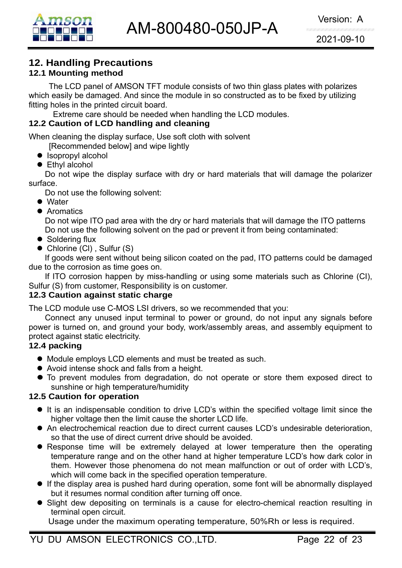# **12. Handling Precautions**

#### **12.1 Mounting method**

The LCD panel of AMSON TFT module consists of two thin glass plates with polarizes which easily be damaged. And since the module in so constructed as to be fixed by utilizing fitting holes in the printed circuit board.

Extreme care should be needed when handling the LCD modules.

#### **12.2 Caution of LCD handling and cleaning**

When cleaning the display surface, Use soft cloth with solvent

[Recommended below] and wipe lightly

- $\bullet$  Isopropyl alcohol
- $\bullet$  Ethyl alcohol

 Do not wipe the display surface with dry or hard materials that will damage the polarizer surface.

Do not use the following solvent:

- $\bullet$  Water
- **Aromatics**

 Do not wipe ITO pad area with the dry or hard materials that will damage the ITO patterns Do not use the following solvent on the pad or prevent it from being contaminated:

- $\bullet$  Soldering flux
- $\bullet$  Chlorine (CI), Sulfur (S)

If goods were sent without being silicon coated on the pad, ITO patterns could be damaged due to the corrosion as time goes on.

If ITO corrosion happen by miss-handling or using some materials such as Chlorine (CI), Sulfur (S) from customer, Responsibility is on customer.

#### **12.3 Caution against static charge**

The LCD module use C-MOS LSI drivers, so we recommended that you:

Connect any unused input terminal to power or ground, do not input any signals before power is turned on, and ground your body, work/assembly areas, and assembly equipment to protect against static electricity.

#### **12.4 packing**

- Module employs LCD elements and must be treated as such.
- Avoid intense shock and falls from a height.
- $\bullet$  To prevent modules from degradation, do not operate or store them exposed direct to sunshine or high temperature/humidity

#### **12.5 Caution for operation**

- It is an indispensable condition to drive LCD's within the specified voltage limit since the higher voltage then the limit cause the shorter LCD life.
- An electrochemical reaction due to direct current causes LCD's undesirable deterioration, so that the use of direct current drive should be avoided.
- Response time will be extremely delayed at lower temperature then the operating temperature range and on the other hand at higher temperature LCD's how dark color in them. However those phenomena do not mean malfunction or out of order with LCD's, which will come back in the specified operation temperature.
- $\bullet$  If the display area is pushed hard during operation, some font will be abnormally displayed but it resumes normal condition after turning off once.
- Slight dew depositing on terminals is a cause for electro-chemical reaction resulting in terminal open circuit.

Usage under the maximum operating temperature, 50%Rh or less is required.